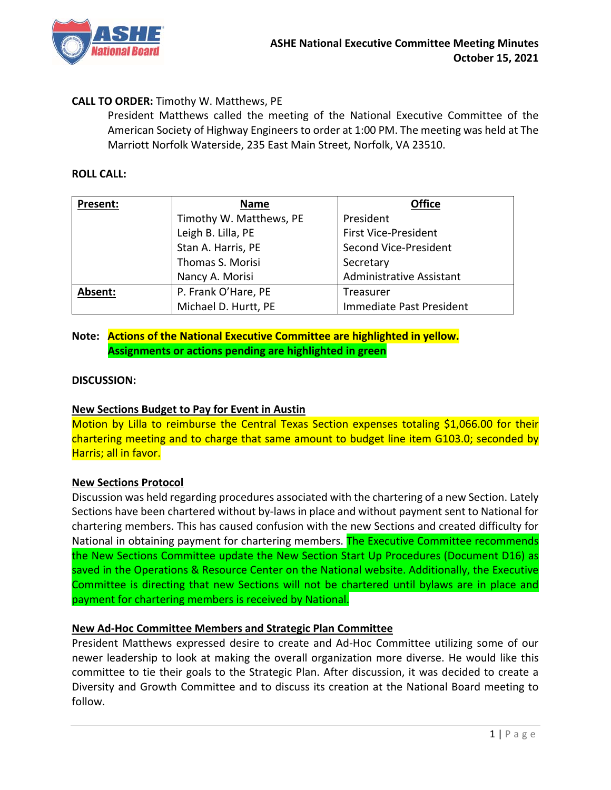

# **CALL TO ORDER:** Timothy W. Matthews, PE

 President Matthews called the meeting of the National Executive Committee of the American Society of Highway Engineers to order at 1:00 PM. The meeting was held at The Marriott Norfolk Waterside, 235 East Main Street, Norfolk, VA 23510.

### **ROLL CALL:**

| Present: | <b>Name</b>             | <b>Office</b>                   |
|----------|-------------------------|---------------------------------|
|          | Timothy W. Matthews, PE | President                       |
|          | Leigh B. Lilla, PE      | <b>First Vice-President</b>     |
|          | Stan A. Harris, PE      | Second Vice-President           |
|          | Thomas S. Morisi        | Secretary                       |
|          | Nancy A. Morisi         | <b>Administrative Assistant</b> |
| Absent:  | P. Frank O'Hare, PE     | Treasurer                       |
|          | Michael D. Hurtt, PE    | Immediate Past President        |

# **Note: Actions of the National Executive Committee are highlighted in yellow. Assignments or actions pending are highlighted in green**

#### **DISCUSSION:**

# **New Sections Budget to Pay for Event in Austin**

Motion by Lilla to reimburse the Central Texas Section expenses totaling \$1,066.00 for their chartering meeting and to charge that same amount to budget line item G103.0; seconded by Harris; all in favor.

#### **New Sections Protocol**

Discussion was held regarding procedures associated with the chartering of a new Section. Lately Sections have been chartered without by‐laws in place and without payment sent to National for chartering members. This has caused confusion with the new Sections and created difficulty for National in obtaining payment for chartering members. The Executive Committee recommends the New Sections Committee update the New Section Start Up Procedures (Document D16) as saved in the Operations & Resource Center on the National website. Additionally, the Executive Committee is directing that new Sections will not be chartered until bylaws are in place and payment for chartering members is received by National.

# **New Ad‐Hoc Committee Members and Strategic Plan Committee**

President Matthews expressed desire to create and Ad-Hoc Committee utilizing some of our newer leadership to look at making the overall organization more diverse. He would like this committee to tie their goals to the Strategic Plan. After discussion, it was decided to create a Diversity and Growth Committee and to discuss its creation at the National Board meeting to follow.